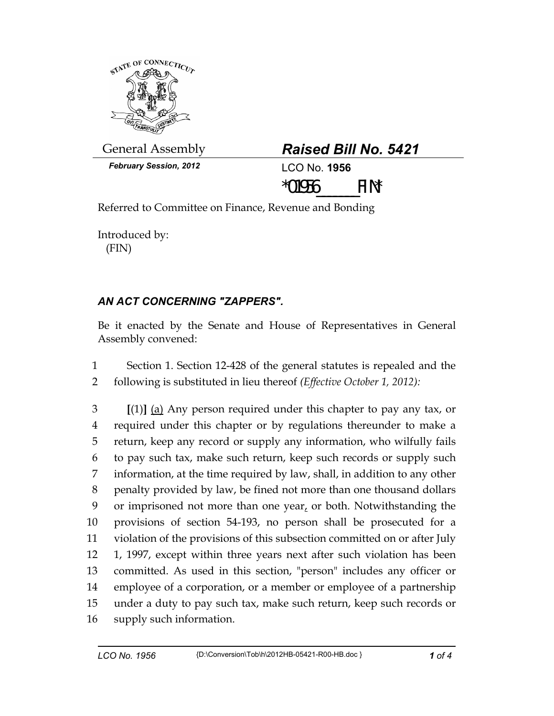

General Assembly *Raised Bill No. 5421* 

*February Session, 2012* LCO No. **1956**



Referred to Committee on Finance, Revenue and Bonding

Introduced by: (FIN)

## *AN ACT CONCERNING "ZAPPERS".*

Be it enacted by the Senate and House of Representatives in General Assembly convened:

1 Section 1. Section 12-428 of the general statutes is repealed and the 2 following is substituted in lieu thereof *(Effective October 1, 2012):*

3 **[**(1)**]** (a) Any person required under this chapter to pay any tax, or 4 required under this chapter or by regulations thereunder to make a 5 return, keep any record or supply any information, who wilfully fails 6 to pay such tax, make such return, keep such records or supply such 7 information, at the time required by law, shall, in addition to any other 8 penalty provided by law, be fined not more than one thousand dollars 9 or imprisoned not more than one year, or both. Notwithstanding the 10 provisions of section 54-193, no person shall be prosecuted for a 11 violation of the provisions of this subsection committed on or after July 12 1, 1997, except within three years next after such violation has been 13 committed. As used in this section, "person" includes any officer or 14 employee of a corporation, or a member or employee of a partnership 15 under a duty to pay such tax, make such return, keep such records or 16 supply such information.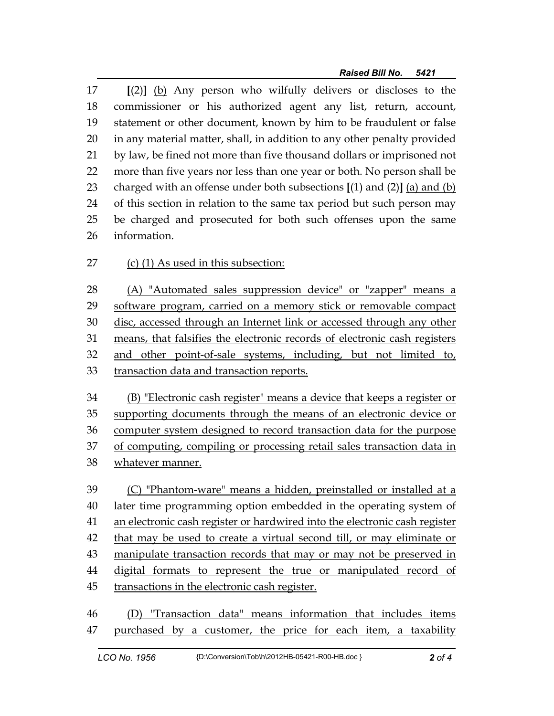17 **[**(2)**]** (b) Any person who wilfully delivers or discloses to the 18 commissioner or his authorized agent any list, return, account, 19 statement or other document, known by him to be fraudulent or false 20 in any material matter, shall, in addition to any other penalty provided 21 by law, be fined not more than five thousand dollars or imprisoned not 22 more than five years nor less than one year or both. No person shall be 23 charged with an offense under both subsections **[**(1) and (2)**]** (a) and (b) 24 of this section in relation to the same tax period but such person may 25 be charged and prosecuted for both such offenses upon the same 26 information.

27 (c) (1) As used in this subsection:

28 (A) "Automated sales suppression device" or "zapper" means a 29 software program, carried on a memory stick or removable compact 30 disc, accessed through an Internet link or accessed through any other 31 means, that falsifies the electronic records of electronic cash registers 32 and other point-of-sale systems, including, but not limited to, 33 transaction data and transaction reports.

34 (B) "Electronic cash register" means a device that keeps a register or 35 supporting documents through the means of an electronic device or 36 computer system designed to record transaction data for the purpose 37 of computing, compiling or processing retail sales transaction data in 38 whatever manner.

39 (C) "Phantom-ware" means a hidden, preinstalled or installed at a 40 later time programming option embedded in the operating system of 41 an electronic cash register or hardwired into the electronic cash register 42 that may be used to create a virtual second till, or may eliminate or 43 manipulate transaction records that may or may not be preserved in 44 digital formats to represent the true or manipulated record of 45 transactions in the electronic cash register.

46 (D) "Transaction data" means information that includes items 47 purchased by a customer, the price for each item, a taxability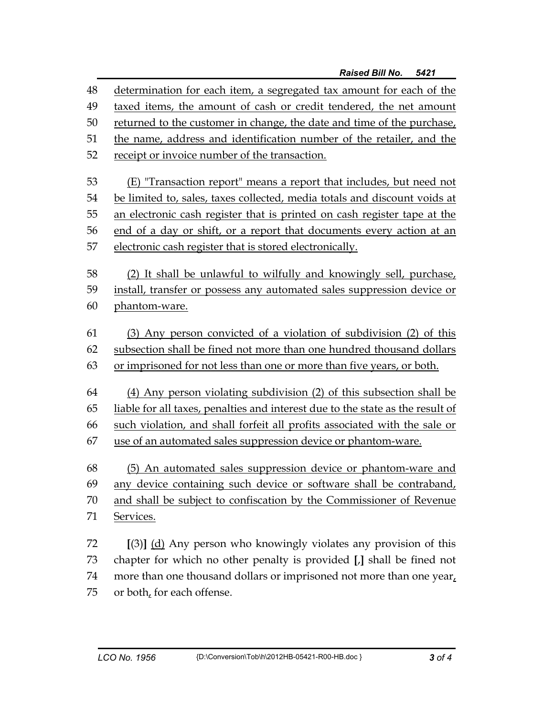48 determination for each item, a segregated tax amount for each of the 49 taxed items, the amount of cash or credit tendered, the net amount 50 returned to the customer in change, the date and time of the purchase, 51 the name, address and identification number of the retailer, and the 52 receipt or invoice number of the transaction. 53 (E) "Transaction report" means a report that includes, but need not 54 be limited to, sales, taxes collected, media totals and discount voids at 55 an electronic cash register that is printed on cash register tape at the 56 end of a day or shift, or a report that documents every action at an 57 electronic cash register that is stored electronically. 58 (2) It shall be unlawful to wilfully and knowingly sell, purchase, 59 install, transfer or possess any automated sales suppression device or 60 phantom-ware. 61 (3) Any person convicted of a violation of subdivision (2) of this 62 subsection shall be fined not more than one hundred thousand dollars 63 or imprisoned for not less than one or more than five years, or both. 64 (4) Any person violating subdivision (2) of this subsection shall be 65 liable for all taxes, penalties and interest due to the state as the result of 66 such violation, and shall forfeit all profits associated with the sale or 67 use of an automated sales suppression device or phantom-ware. 68 (5) An automated sales suppression device or phantom-ware and 69 any device containing such device or software shall be contraband, 70 and shall be subject to confiscation by the Commissioner of Revenue 71 Services. 72 **[**(3)**]** (d) Any person who knowingly violates any provision of this 73 chapter for which no other penalty is provided **[**,**]** shall be fined not

74 more than one thousand dollars or imprisoned not more than one year, 75 or both, for each offense.